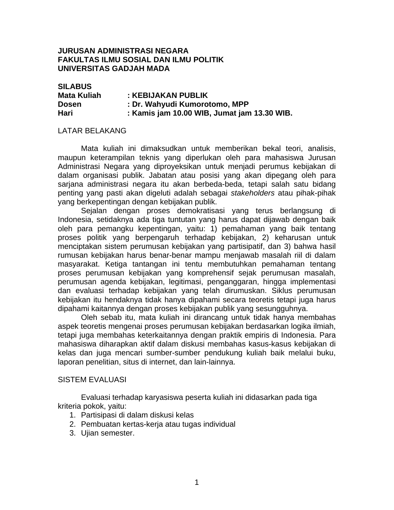## **JURUSAN ADMINISTRASI NEGARA FAKULTAS ILMU SOSIAL DAN ILMU POLITIK UNIVERSITAS GADJAH MADA**

| <b>SILABUS</b>     |                                             |
|--------------------|---------------------------------------------|
| <b>Mata Kuliah</b> | : KEBIJAKAN PUBLIK                          |
| <b>Dosen</b>       | : Dr. Wahyudi Kumorotomo, MPP               |
| Hari               | : Kamis jam 10.00 WIB, Jumat jam 13.30 WIB. |

#### LATAR BELAKANG

 Mata kuliah ini dimaksudkan untuk memberikan bekal teori, analisis, maupun keterampilan teknis yang diperlukan oleh para mahasiswa Jurusan Administrasi Negara yang diproyeksikan untuk menjadi perumus kebijakan di dalam organisasi publik. Jabatan atau posisi yang akan dipegang oleh para sarjana administrasi negara itu akan berbeda-beda, tetapi salah satu bidang penting yang pasti akan digeluti adalah sebagai *stakeholders* atau pihak-pihak yang berkepentingan dengan kebijakan publik.

 Sejalan dengan proses demokratisasi yang terus berlangsung di Indonesia, setidaknya ada tiga tuntutan yang harus dapat dijawab dengan baik oleh para pemangku kepentingan, yaitu: 1) pemahaman yang baik tentang proses politik yang berpengaruh terhadap kebijakan, 2) keharusan untuk menciptakan sistem perumusan kebijakan yang partisipatif, dan 3) bahwa hasil rumusan kebijakan harus benar-benar mampu menjawab masalah riil di dalam masyarakat. Ketiga tantangan ini tentu membutuhkan pemahaman tentang proses perumusan kebijakan yang komprehensif sejak perumusan masalah, perumusan agenda kebijakan, legitimasi, penganggaran, hingga implementasi dan evaluasi terhadap kebijakan yang telah dirumuskan. Siklus perumusan kebijakan itu hendaknya tidak hanya dipahami secara teoretis tetapi juga harus dipahami kaitannya dengan proses kebijakan publik yang sesungguhnya.

 Oleh sebab itu, mata kuliah ini dirancang untuk tidak hanya membahas aspek teoretis mengenai proses perumusan kebijakan berdasarkan logika ilmiah, tetapi juga membahas keterkaitannya dengan praktik empiris di Indonesia. Para mahasiswa diharapkan aktif dalam diskusi membahas kasus-kasus kebijakan di kelas dan juga mencari sumber-sumber pendukung kuliah baik melalui buku, laporan penelitian, situs di internet, dan lain-lainnya.

#### SISTEM EVALUASI

 Evaluasi terhadap karyasiswa peserta kuliah ini didasarkan pada tiga kriteria pokok, yaitu:

- 1. Partisipasi di dalam diskusi kelas
- 2. Pembuatan kertas-kerja atau tugas individual
- 3. Ujian semester.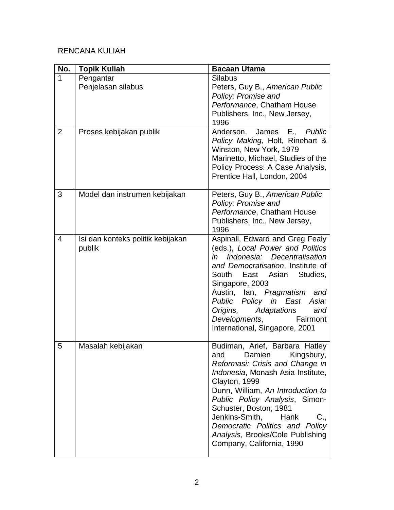# RENCANA KULIAH

| No. | <b>Topik Kuliah</b>                         | <b>Bacaan Utama</b>                                                                                                                                                                                                                                                                                                                                                                                         |
|-----|---------------------------------------------|-------------------------------------------------------------------------------------------------------------------------------------------------------------------------------------------------------------------------------------------------------------------------------------------------------------------------------------------------------------------------------------------------------------|
| 1   | Pengantar<br>Penjelasan silabus             | <b>Silabus</b><br>Peters, Guy B., American Public<br>Policy: Promise and<br>Performance, Chatham House<br>Publishers, Inc., New Jersey,<br>1996                                                                                                                                                                                                                                                             |
| 2   | Proses kebijakan publik                     | Anderson, James E., Public<br>Policy Making, Holt, Rinehart &<br>Winston, New York, 1979<br>Marinetto, Michael, Studies of the<br>Policy Process: A Case Analysis,<br>Prentice Hall, London, 2004                                                                                                                                                                                                           |
| 3   | Model dan instrumen kebijakan               | Peters, Guy B., American Public<br>Policy: Promise and<br>Performance, Chatham House<br>Publishers, Inc., New Jersey,<br>1996                                                                                                                                                                                                                                                                               |
| 4   | Isi dan konteks politik kebijakan<br>publik | Aspinall, Edward and Greg Fealy<br>(eds.), Local Power and Politics<br>Indonesia: Decentralisation<br>in<br>and Democratisation, Institute of<br>South<br>East<br>Asian<br>Studies,<br>Singapore, 2003<br>Austin, Ian, Pragmatism<br>and<br>Public Policy in East<br>Asia:<br>Adaptations<br>Origins,<br>and<br>Fairmont<br>Developments,<br>International, Singapore, 2001                                 |
| 5   | Masalah kebijakan                           | Budiman, Arief, Barbara Hatley<br>and<br>Damien<br>Kingsbury,<br>Reformasi: Crisis and Change in<br><i>Indonesia</i> , Monash Asia Institute,<br>Clayton, 1999<br>Dunn, William, An Introduction to<br>Public Policy Analysis, Simon-<br>Schuster, Boston, 1981<br>Jenkins-Smith,<br>$C_{\cdot}$<br>Hank<br>Democratic Politics and Policy<br>Analysis, Brooks/Cole Publishing<br>Company, California, 1990 |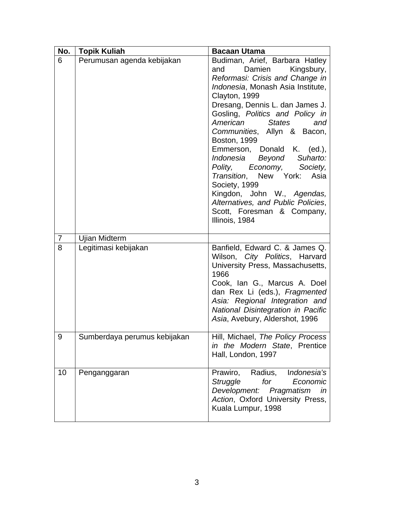| No.            | <b>Topik Kuliah</b>          | <b>Bacaan Utama</b>                                                                                                                                                                                                                                                                                                                                                                                                                                                                                                                                                                 |
|----------------|------------------------------|-------------------------------------------------------------------------------------------------------------------------------------------------------------------------------------------------------------------------------------------------------------------------------------------------------------------------------------------------------------------------------------------------------------------------------------------------------------------------------------------------------------------------------------------------------------------------------------|
| 6              | Perumusan agenda kebijakan   | Budiman, Arief, Barbara Hatley<br>Damien<br>Kingsbury,<br>and<br>Reformasi: Crisis and Change in<br>Indonesia, Monash Asia Institute,<br>Clayton, 1999<br>Dresang, Dennis L. dan James J.<br>Gosling, Politics and Policy in<br>American<br><b>States</b><br>and<br>Communities, Allyn & Bacon,<br>Boston, 1999<br>Emmerson, Donald K. (ed.),<br>Suharto:<br>Indonesia Beyond<br>Polity,<br>Economy, Society,<br>Transition, New York:<br>Asia<br>Society, 1999<br>Kingdon, John W., Agendas,<br>Alternatives, and Public Policies,<br>Scott, Foresman & Company,<br>Illinois, 1984 |
| $\overline{7}$ | <b>Ujian Midterm</b>         |                                                                                                                                                                                                                                                                                                                                                                                                                                                                                                                                                                                     |
| 8              | Legitimasi kebijakan         | Banfield, Edward C. & James Q.<br>Wilson, City Politics, Harvard<br>University Press, Massachusetts,<br>1966<br>Cook, Ian G., Marcus A. Doel<br>dan Rex Li (eds.), Fragmented<br>Asia: Regional Integration and<br>National Disintegration in Pacific<br>Asia, Avebury, Aldershot, 1996                                                                                                                                                                                                                                                                                             |
| 9              | Sumberdaya perumus kebijakan | Hill, Michael, The Policy Process<br>in the Modern State, Prentice<br>Hall, London, 1997                                                                                                                                                                                                                                                                                                                                                                                                                                                                                            |
| 10             | Penganggaran                 | Radius,<br>Indonesia's<br>Prawiro,<br>for<br>Struggle<br>Economic<br>Development:<br>Pragmatism<br>in<br>Action, Oxford University Press,<br>Kuala Lumpur, 1998                                                                                                                                                                                                                                                                                                                                                                                                                     |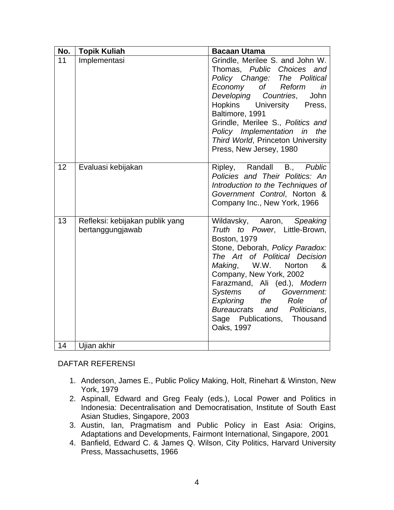| No. | <b>Topik Kuliah</b>                                 | <b>Bacaan Utama</b>                                                                                                                                                                                                                                                                                                                                                                                 |
|-----|-----------------------------------------------------|-----------------------------------------------------------------------------------------------------------------------------------------------------------------------------------------------------------------------------------------------------------------------------------------------------------------------------------------------------------------------------------------------------|
| 11  | Implementasi                                        | Grindle, Merilee S. and John W.<br>Thomas, Public Choices and<br>Policy Change: The Political<br>Economy<br>of __<br>Reform<br>in<br>Developing<br>John<br>Countries,<br>Hopkins University<br>Press,<br>Baltimore, 1991<br>Grindle, Merilee S., Politics and<br>Policy Implementation in the<br>Third World, Princeton University<br>Press, New Jersey, 1980                                       |
| 12  | Evaluasi kebijakan                                  | Ripley, Randall B., Public<br>Policies and Their Politics: An<br>Introduction to the Techniques of<br>Government Control, Norton &<br>Company Inc., New York, 1966                                                                                                                                                                                                                                  |
| 13  | Refleksi: kebijakan publik yang<br>bertanggungjawab | Wildavsky, Aaron,<br>Speaking<br>Truth to Power, Little-Brown,<br><b>Boston, 1979</b><br>Stone, Deborah, Policy Paradox:<br>The Art of Political Decision<br>W.W.<br>Making,<br><b>Norton</b><br>&<br>Company, New York, 2002<br>Farazmand, Ali (ed.), Modern<br>Systems of Government:<br>Exploring the<br>Role<br>0f<br>Bureaucrats and Politicians,<br>Sage Publications, Thousand<br>Oaks, 1997 |
| 14  | Ujian akhir                                         |                                                                                                                                                                                                                                                                                                                                                                                                     |

## DAFTAR REFERENSI

- 1. Anderson, James E., Public Policy Making, Holt, Rinehart & Winston, New York, 1979
- 2. Aspinall, Edward and Greg Fealy (eds.), Local Power and Politics in Indonesia: Decentralisation and Democratisation, Institute of South East Asian Studies, Singapore, 2003
- 3. Austin, Ian, Pragmatism and Public Policy in East Asia: Origins, Adaptations and Developments, Fairmont International, Singapore, 2001
- 4. Banfield, Edward C. & James Q. Wilson, City Politics, Harvard University Press, Massachusetts, 1966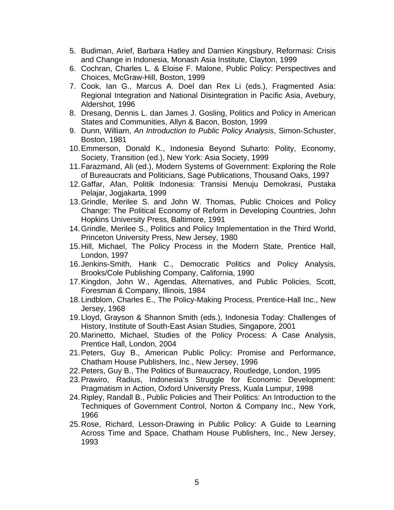- 5. Budiman, Arief, Barbara Hatley and Damien Kingsbury, Reformasi: Crisis and Change in Indonesia, Monash Asia Institute, Clayton, 1999
- 6. Cochran, Charles L. & Eloise F. Malone, Public Policy: Perspectives and Choices, McGraw-Hill, Boston, 1999
- 7. Cook, Ian G., Marcus A. Doel dan Rex Li (eds.), Fragmented Asia: Regional Integration and National Disintegration in Pacific Asia, Avebury, Aldershot, 1996
- 8. Dresang, Dennis L. dan James J. Gosling, Politics and Policy in American States and Communities, Allyn & Bacon, Boston, 1999
- 9. Dunn, William, *An Introduction to Public Policy Analysis*, Simon-Schuster, Boston, 1981
- 10. Emmerson, Donald K., Indonesia Beyond Suharto: Polity, Economy, Society, Transition (ed.), New York: Asia Society, 1999
- 11. Farazmand, Ali (ed.), Modern Systems of Government: Exploring the Role of Bureaucrats and Politicians, Sage Publications, Thousand Oaks, 1997
- 12. Gaffar, Afan, Politik Indonesia: Transisi Menuju Demokrasi, Pustaka Pelajar, Jogjakarta, 1999
- 13. Grindle, Merilee S. and John W. Thomas, Public Choices and Policy Change: The Political Economy of Reform in Developing Countries, John Hopkins University Press, Baltimore, 1991
- 14. Grindle, Merilee S., Politics and Policy Implementation in the Third World, Princeton University Press, New Jersey, 1980
- 15. Hill, Michael, The Policy Process in the Modern State, Prentice Hall, London, 1997
- 16. Jenkins-Smith, Hank C., Democratic Politics and Policy Analysis, Brooks/Cole Publishing Company, California, 1990
- 17. Kingdon, John W., Agendas, Alternatives, and Public Policies, Scott, Foresman & Company, Illinois, 1984
- 18. Lindblom, Charles E., The Policy-Making Process, Prentice-Hall Inc., New Jersey, 1968
- 19. Lloyd, Grayson & Shannon Smith (eds.), Indonesia Today: Challenges of History, Institute of South-East Asian Studies, Singapore, 2001
- 20. Marinetto, Michael, Studies of the Policy Process: A Case Analysis, Prentice Hall, London, 2004
- 21. Peters, Guy B., American Public Policy: Promise and Performance, Chatham House Publishers, Inc., New Jersey, 1996
- 22. Peters, Guy B., The Politics of Bureaucracy, Routledge, London, 1995
- 23. Prawiro, Radius, Indonesia's Struggle for Economic Development: Pragmatism in Action, Oxford University Press, Kuala Lumpur, 1998
- 24. Ripley, Randall B., Public Policies and Their Politics: An Introduction to the Techniques of Government Control, Norton & Company Inc., New York, 1966
- 25. Rose, Richard, Lesson-Drawing in Public Policy: A Guide to Learning Across Time and Space, Chatham House Publishers, Inc., New Jersey, 1993